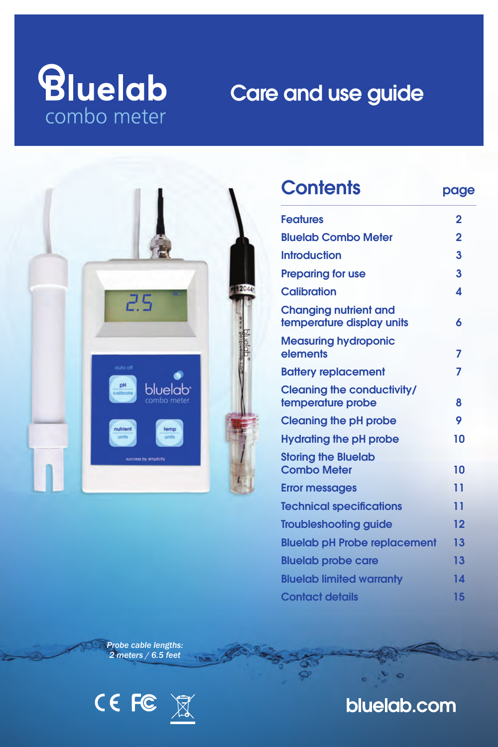# *<u>Bluelab</u>* combo meter

# Care and use guide



| <b>Contents</b>                                           | page           |
|-----------------------------------------------------------|----------------|
| <b>Features</b>                                           | 2              |
| <b>Bluelab Combo Meter</b>                                | $\overline{2}$ |
| <b>Introduction</b>                                       | 3              |
| <b>Preparing for use</b>                                  | 3              |
| Calibration                                               | 4              |
| <b>Changing nutrient and</b><br>temperature display units | 6              |
| <b>Measuring hydroponic</b><br>elements                   | 7              |
| <b>Battery replacement</b>                                | 7              |
| <b>Cleaning the conductivity/</b><br>temperature probe    | 8              |
| <b>Cleaning the pH probe</b>                              | 9              |
| Hydrating the pH probe                                    | 10             |
| <b>Storing the Bluelab</b><br><b>Combo Meter</b>          | 10             |
| <b>Error messages</b>                                     | 11             |
| <b>Technical specifications</b>                           | 11             |
| <b>Troubleshooting quide</b>                              | 12             |
| <b>Bluelab pH Probe replacement</b>                       | 13             |
| <b>Bluelab probe care</b>                                 | 13             |
| <b>Bluelab limited warranty</b>                           | 14             |
| <b>Contact details</b>                                    | 15             |

*Probe cable lengths: 2 meters / 6.5 feet*



## bluelab.com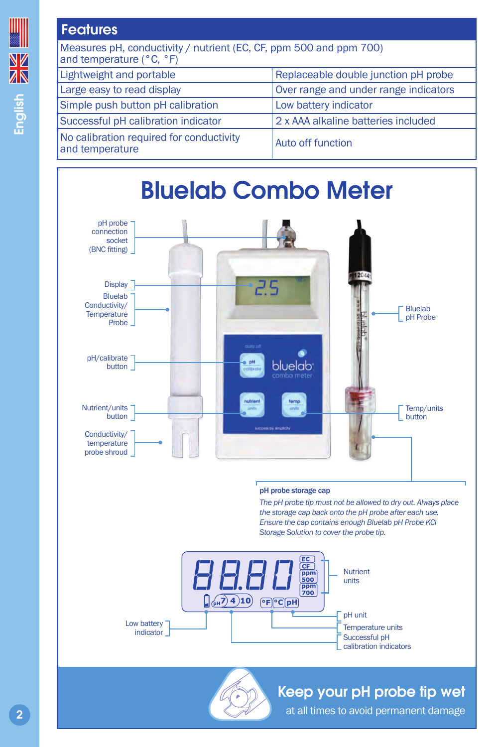## **Features**

| Measures pH, conductivity / nutrient (EC, CF, ppm 500 and ppm 700)<br>and temperature (°C, °F) |                                       |  |  |
|------------------------------------------------------------------------------------------------|---------------------------------------|--|--|
| Lightweight and portable                                                                       | Replaceable double junction pH probe  |  |  |
| Large easy to read display                                                                     | Over range and under range indicators |  |  |
| Simple push button pH calibration                                                              | Low battery indicator                 |  |  |
| Successful pH calibration indicator                                                            | 2 x AAA alkaline batteries included   |  |  |
| No calibration required for conductivity<br>and temperature                                    | Auto off function                     |  |  |

#### Bluelab Combo Meter pH probe connection socket (BNC fitting) **Display** ء ح Bluelab Conductivity/ Bluelab **Temperature** pH Probe Probe pH/calibrate bluelab button Nutrient/units Temp/units button **button** Conductivity/ temperature probe shroud

#### pH probe storage cap

*The pH probe tip must not be allowed to dry out. Always place the storage cap back onto the pH probe after each use. Ensure the cap contains enough Bluelab pH Probe KCl Storage Solution to cover the probe tip.*



## Keep your pH probe tip wet

at all times to avoid permanent damage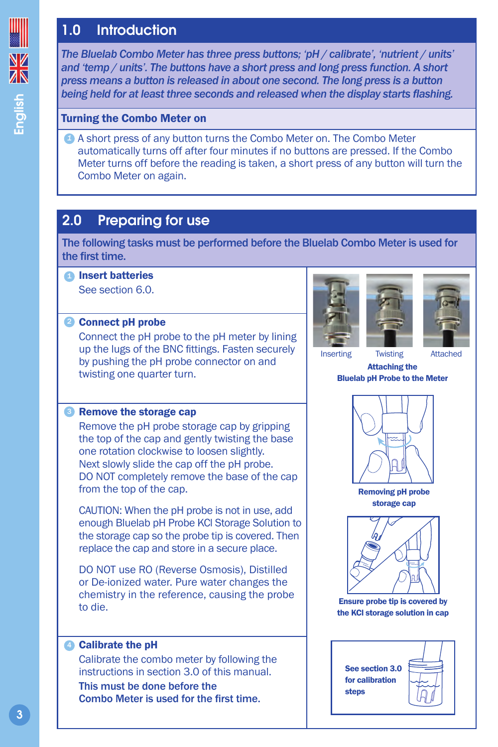## 1.0 Introduction

*The Bluelab Combo Meter has three press buttons; 'pH / calibrate', 'nutrient / units' and 'temp / units'. The buttons have a short press and long press function. A short press means a button is released in about one second. The long press is a button being held for at least three seconds and released when the display starts flashing.*

#### Turning the Combo Meter on

A short press of any button turns the Combo Meter on. The Combo Meter *1* automatically turns off after four minutes if no buttons are pressed. If the Combo Meter turns off before the reading is taken, a short press of any button will turn the Combo Meter on again.

## 2.0 Preparing for use

The following tasks must be performed before the Bluelab Combo Meter is used for the first time.

**D** Insert batteries

See section 6.0.

#### **2** Connect pH probe

Connect the pH probe to the pH meter by lining up the lugs of the BNC fittings. Fasten securely by pushing the pH probe connector on and twisting one quarter turn.



Remove the pH probe storage cap by gripping the top of the cap and gently twisting the base one rotation clockwise to loosen slightly. Next slowly slide the cap off the pH probe. DO NOT completely remove the base of the cap from the top of the cap.

CAUTION: When the pH probe is not in use, add enough Bluelab pH Probe KCl Storage Solution to the storage cap so the probe tip is covered. Then replace the cap and store in a secure place.

DO NOT use RO (Reverse Osmosis), Distilled or De-ionized water. Pure water changes the chemistry in the reference, causing the probe to die.

#### **4** Calibrate the pH

Calibrate the combo meter by following the instructions in section 3.0 of this manual.

This must be done before the Combo Meter is used for the first time.





#### Attaching the Bluelab pH Probe to the Meter



Removing pH probe storage cap



Ensure probe tip is covered by the KCl storage solution in cap

See section 3.0 for calibration steps

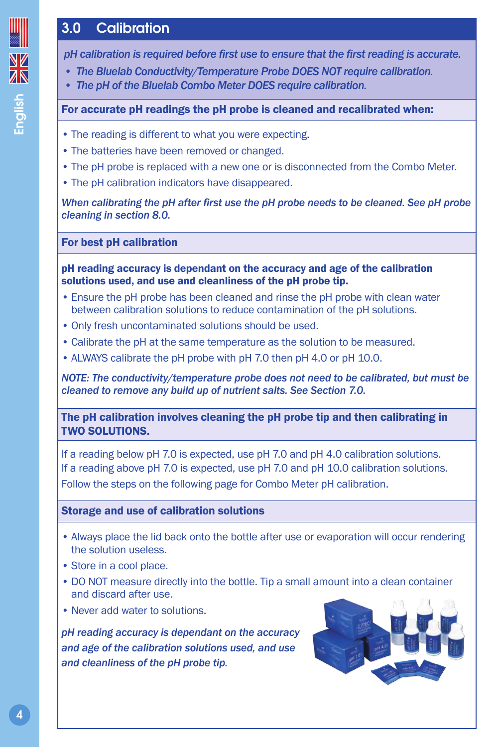# English

## 3.0 Calibration

*pH calibration is required before first use to ensure that the first reading is accurate.*

- *• The Bluelab Conductivity/Temperature Probe DOES NOT require calibration.*
- *• The pH of the Bluelab Combo Meter DOES require calibration.*

#### For accurate pH readings the pH probe is cleaned and recalibrated when:

- The reading is different to what you were expecting.
- The batteries have been removed or changed.
- The pH probe is replaced with a new one or is disconnected from the Combo Meter.
- The pH calibration indicators have disappeared.

*When calibrating the pH after first use the pH probe needs to be cleaned. See pH probe cleaning in section 8.0.*

#### For best pH calibration

pH reading accuracy is dependant on the accuracy and age of the calibration solutions used, and use and cleanliness of the pH probe tip.

- Ensure the pH probe has been cleaned and rinse the pH probe with clean water between calibration solutions to reduce contamination of the pH solutions.
- Only fresh uncontaminated solutions should be used.
- Calibrate the pH at the same temperature as the solution to be measured.
- ALWAYS calibrate the pH probe with pH 7.0 then pH 4.0 or pH 10.0.

*NOTE: The conductivity/temperature probe does not need to be calibrated, but must be cleaned to remove any build up of nutrient salts. See Section 7.0.*

The pH calibration involves cleaning the pH probe tip and then calibrating in TWO SOLUTIONS.

If a reading below pH 7.0 is expected, use pH 7.0 and pH 4.0 calibration solutions. If a reading above pH 7.0 is expected, use pH 7.0 and pH 10.0 calibration solutions.

Follow the steps on the following page for Combo Meter pH calibration.

#### Storage and use of calibration solutions

- Always place the lid back onto the bottle after use or evaporation will occur rendering the solution useless.
- Store in a cool place.
- DO NOT measure directly into the bottle. Tip a small amount into a clean container and discard after use.
- Never add water to solutions.

*pH reading accuracy is dependant on the accuracy and age of the calibration solutions used, and use and cleanliness of the pH probe tip.*

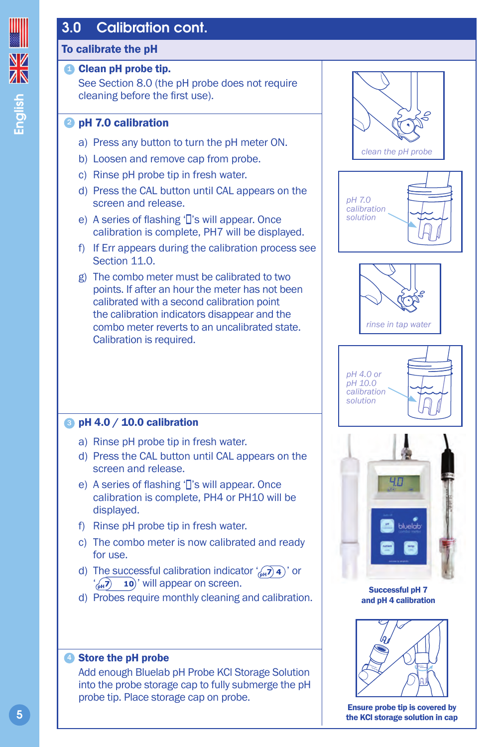## 3.0 Calibration cont.

## To calibrate the pH

## **D** Clean pH probe tip.

See Section 8.0 (the pH probe does not require cleaning before the first use).

## **2** pH 7.0 calibration

- a) Press any button to turn the pH meter ON.
- b) Loosen and remove cap from probe.
- c) Rinse pH probe tip in fresh water.
- d) Press the CAL button until CAL appears on the screen and release.
- e) A series of flashing 'I's will appear. Once calibration is complete, PH7 will be displayed.
- f) If Err appears during the calibration process see Section 11.0.
- g) The combo meter must be calibrated to two points. If after an hour the meter has not been calibrated with a second calibration point the calibration indicators disappear and the combo meter reverts to an uncalibrated state. Calibration is required.

## $\bullet$  pH 4.0 / 10.0 calibration

- a) Rinse pH probe tip in fresh water.
- d) Press the CAL button until CAL appears on the screen and release.
- e) A series of flashing 'I's will appear. Once calibration is complete, PH4 or PH10 will be displayed.
- f) Rinse pH probe tip in fresh water.
- c) The combo meter is now calibrated and ready for use.
- d) The successful calibration indicator  $\binom{1}{n+1}$  or  $\binom{1}{0}$  10<sup>'</sup> will appear on screen.
- d) Probes require monthly cleaning and calibration.

#### Store the pH probe 4

Add enough Bluelab pH Probe KCl Storage Solution into the probe storage cap to fully submerge the pH probe tip. Place storage cap on probe.











Successful pH 7 and pH 4 calibration



Ensure probe tip is covered by the KCl storage solution in cap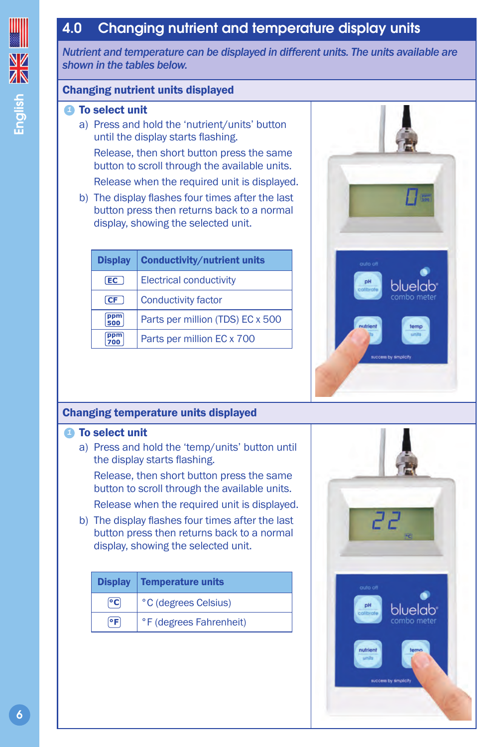## 4.0 Changing nutrient and temperature display units

*Nutrient and temperature can be displayed in different units. The units available are shown in the tables below.*

#### Changing nutrient units displayed

#### To select unit *1*

a) Press and hold the 'nutrient/units' button until the display starts flashing.

Release, then short button press the same button to scroll through the available units.

Release when the required unit is displayed.

b) The display flashes four times after the last button press then returns back to a normal display, showing the selected unit.

| <b>Display</b> | <b>Conductivity/nutrient units</b> |
|----------------|------------------------------------|
| [EC ]          | <b>Electrical conductivity</b>     |
| CF             | <b>Conductivity factor</b>         |
| ppm<br>500     | Parts per million (TDS) EC x 500   |
| ppm            | Parts per million EC x 700         |



#### **1** To select unit

a) Press and hold the 'temp/units' button until the display starts flashing.

Release, then short button press the same button to scroll through the available units. Release when the required unit is displayed.

b) The display flashes four times after the last button press then returns back to a normal display, showing the selected unit.

| <b>Display</b> | <b>Temperature units</b> |
|----------------|--------------------------|
| ΘC             | °C (degrees Celsius)     |
| ٥F             | °F (degrees Fahrenheit)  |



bluelabi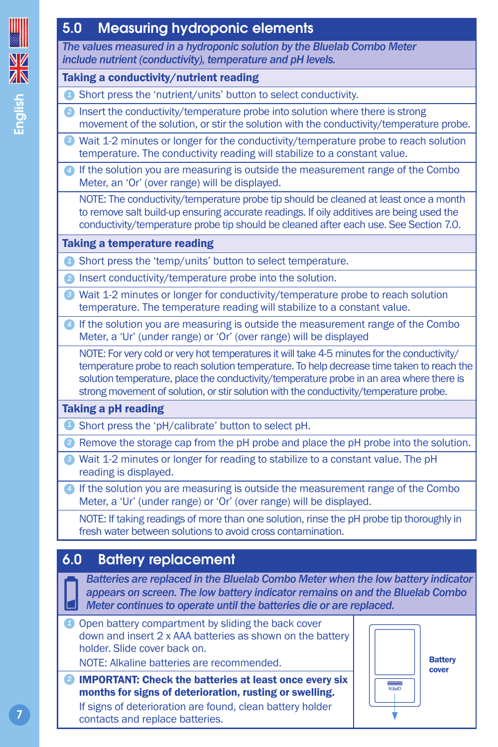## 5.0 Measuring hydroponic elements

*The values measured in a hydroponic solution by the Bluelab Combo Meter include nutrient (conductivity), temperature and pH levels.*

#### Taking a conductivity/nutrient reading

- Short press the 'nutrient/units' button to select conductivity. *1*
- 2 Insert the conductivity/temperature probe into solution where there is strong movement of the solution, or stir the solution with the conductivity/temperature probe.
- Wait 1-2 minutes or longer for the conductivity/temperature probe to reach solution *3* temperature. The conductivity reading will stabilize to a constant value.
- If the solution you are measuring is outside the measurement range of the Combo *4* Meter, an 'Or' (over range) will be displayed.

NOTE: The conductivity/temperature probe tip should be cleaned at least once a month to remove salt build-up ensuring accurate readings. If oily additives are being used the conductivity/temperature probe tip should be cleaned after each use. See Section 7.0.

## Taking a temperature reading

- **2** Short press the 'temp/units' button to select temperature.
- 2 Insert conductivity/temperature probe into the solution.
- Wait 1-2 minutes or longer for conductivity/temperature probe to reach solution *3* temperature. The temperature reading will stabilize to a constant value.
- If the solution you are measuring is outside the measurement range of the Combo *4* Meter, a 'Ur' (under range) or 'Or' (over range) will be displayed

NOTE: For very cold or very hot temperatures it will take 4-5 minutes for the conductivity/ temperature probe to reach solution temperature. To help decrease time taken to reach the solution temperature, place the conductivity/temperature probe in an area where there is strong movement of solution, or stir solution with the conductivity/temperature probe.

## Taking a pH reading

- Short press the 'pH/calibrate' button to select pH. *1*
- **2** Remove the storage cap from the pH probe and place the pH probe into the solution.
- Wait 1-2 minutes or longer for reading to stabilize to a constant value. The pH *3* reading is displayed.

If the solution you are measuring is outside the measurement range of the Combo *4* Meter, a 'Ur' (under range) or 'Or' (over range) will be displayed.

NOTE: If taking readings of more than one solution, rinse the pH probe tip thoroughly in fresh water between solutions to avoid cross contamination.

## 6.0 Battery replacement

*Batteries are replaced in the Bluelab Combo Meter when the low battery indicator appears on screen. The low battery indicator remains on and the Bluelab Combo Meter continues to operate until the batteries die or are replaced.*

*D* Open battery compartment by sliding the back cover down and insert 2 x AAA batteries as shown on the battery holder. Slide cover back on.

NOTE: Alkaline batteries are recommended.

2 **IMPORTANT: Check the batteries at least once every six** months for signs of deterioration, rusting or swelling. If signs of deterioration are found, clean battery holder contacts and replace batteries.

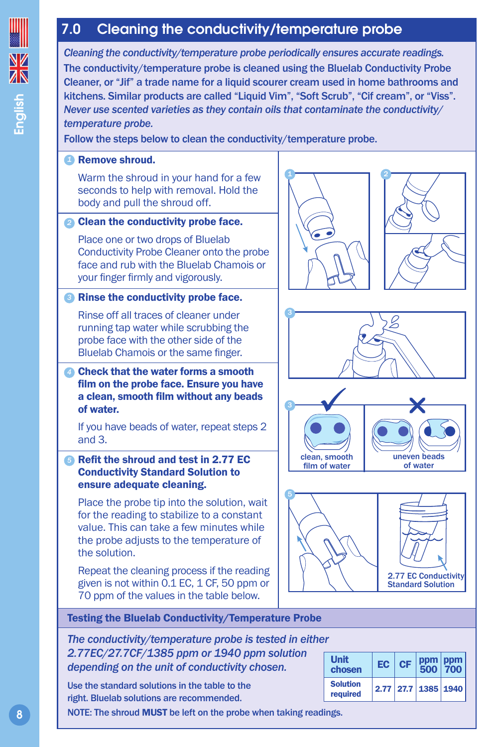## 7.0 Cleaning the conductivity/temperature probe

*Cleaning the conductivity/temperature probe periodically ensures accurate readings.* The conductivity/temperature probe is cleaned using the Bluelab Conductivity Probe Cleaner, or "Jif" a trade name for a liquid scourer cream used in home bathrooms and kitchens. Similar products are called "Liquid Vim", "Soft Scrub", "Cif cream", or "Viss". *Never use scented varieties as they contain oils that contaminate the conductivity/ temperature probe.* Follow the steps below to clean the conductivity/temperature probe. Remove shroud. *1* Warm the shroud in your hand for a few seconds to help with removal. Hold the body and pull the shroud off. Clean the conductivity probe face. *2* Place one or two drops of Bluelab Conductivity Probe Cleaner onto the probe face and rub with the Bluelab Chamois or your finger firmly and vigorously. Rinse the conductivity probe face. *3* Rinse off all traces of cleaner under running tap water while scrubbing the probe face with the other side of the Bluelab Chamois or the same finger. Check that the water forms a smooth *4* film on the probe face. Ensure you have a clean, smooth film without any beads of water. If you have beads of water, repeat steps 2 and 3. Refit the shroud and test in 2.77 EC *5* Conductivity Standard Solution to ensure adequate cleaning. Place the probe tip into the solution, wait for the reading to stabilize to a constant value. This can take a few minutes while the probe adjusts to the temperature of the solution. Repeat the cleaning process if the reading given is not within 0.1 EC, 1 CF, 50 ppm or 70 ppm of the values in the table below. Testing the Bluelab Conductivity/Temperature Probe *The conductivity/temperature probe is tested in either 2.77EC/27.7CF/1385 ppm or 1940 ppm solution depending on the unit of conductivity chosen.*  Use the standard solutions in the table to the right. Bluelab solutions are recommended. Unit Unit  $_{\text{chosen}}$  EC CF ppm 500 ppm 700 Solution<br>required required 2.77 27.7 1385 1940 uneven beads of water 2.77 EC Conductivity Standard Solution clean, smooth film of water

NOTE: The shroud MUST be left on the probe when taking readings.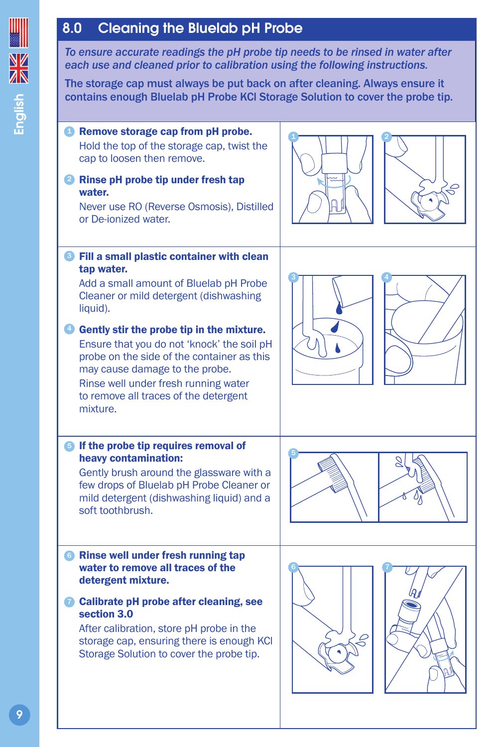## 8.0 Cleaning the Bluelab pH Probe

*To ensure accurate readings the pH probe tip needs to be rinsed in water after each use and cleaned prior to calibration using the following instructions.*

The storage cap must always be put back on after cleaning. Always ensure it contains enough Bluelab pH Probe KCl Storage Solution to cover the probe tip.

#### **Remove storage cap from pH probe.** Hold the top of the storage cap, twist the cap to loosen then remove.

#### 2 Rinse pH probe tip under fresh tap water.

Never use RO (Reverse Osmosis), Distilled or De-ionized water.

#### **3** Fill a small plastic container with clean tap water.

Add a small amount of Bluelab pH Probe Cleaner or mild detergent (dishwashing liquid).

## Gently stir the probe tip in the mixture. 4

Ensure that you do not 'knock' the soil pH probe on the side of the container as this may cause damage to the probe.

Rinse well under fresh running water to remove all traces of the detergent mixture.

#### **If the probe tip requires removal of** heavy contamination:

Gently brush around the glassware with a few drops of Bluelab pH Probe Cleaner or mild detergent (dishwashing liquid) and a soft toothbrush.

#### **6** Rinse well under fresh running tap water to remove all traces of the detergent mixture.

**Calibrate pH probe after cleaning, see** section 3.0

After calibration, store pH probe in the storage cap, ensuring there is enough KCl Storage Solution to cover the probe tip.





2







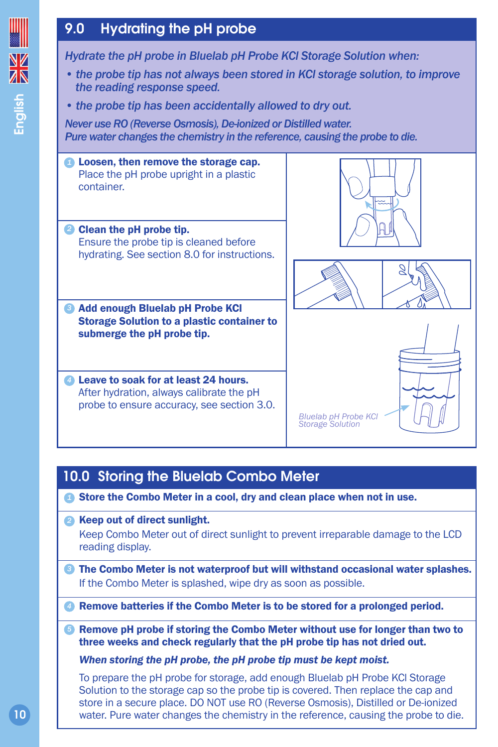## 9.0 Hydrating the pH probe

**NZ** English

*Hydrate the pH probe in Bluelab pH Probe KCl Storage Solution when:*

- *the probe tip has not always been stored in KCl storage solution, to improve the reading response speed.*
- *the probe tip has been accidentally allowed to dry out.*

*Never use RO (Reverse Osmosis), De-ionized or Distilled water. Pure water changes the chemistry in the reference, causing the probe to die.*

**2** Loosen, then remove the storage cap. Place the pH probe upright in a plastic container.

Clean the pH probe tip. *2* Ensure the probe tip is cleaned before hydrating. See section 8.0 for instructions.

Add enough Bluelab pH Probe KCl *3* Storage Solution to a plastic container to submerge the pH probe tip.

Leave to soak for at least 24 hours. *4* After hydration, always calibrate the pH probe to ensure accuracy, see section 3.0.







*Bluelab pH Probe KCl Storage Solution*

## 10.0 Storing the Bluelab Combo Meter

- **1** Store the Combo Meter in a cool, dry and clean place when not in use.
- 2 Keep out of direct sunlight. Keep Combo Meter out of direct sunlight to prevent irreparable damage to the LCD reading display.
- **3** The Combo Meter is not waterproof but will withstand occasional water splashes. If the Combo Meter is splashed, wipe dry as soon as possible.

Remove batteries if the Combo Meter is to be stored for a prolonged period. *4*

**6** Remove pH probe if storing the Combo Meter without use for longer than two to three weeks and check regularly that the pH probe tip has not dried out.

*When storing the pH probe, the pH probe tip must be kept moist.* 

To prepare the pH probe for storage, add enough Bluelab pH Probe KCl Storage Solution to the storage cap so the probe tip is covered. Then replace the cap and store in a secure place. DO NOT use RO (Reverse Osmosis), Distilled or De-ionized water. Pure water changes the chemistry in the reference, causing the probe to die.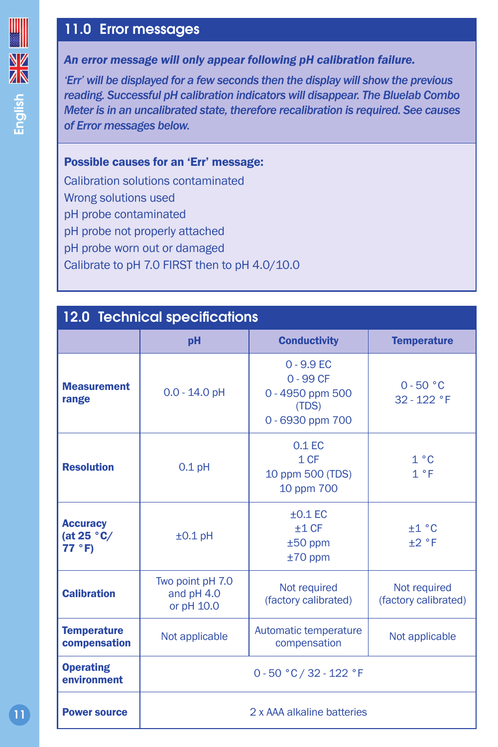## 11.0 Error messages

*An error message will only appear following pH calibration failure.*

*'Err' will be displayed for a few seconds then the display will show the previous reading. Successful pH calibration indicators will disappear. The Bluelab Combo Meter is in an uncalibrated state, therefore recalibration is required. See causes of Error messages below.*

#### Possible causes for an 'Err' message:

Calibration solutions contaminated Wrong solutions used pH probe contaminated pH probe not properly attached pH probe worn out or damaged Calibrate to pH 7.0 FIRST then to pH 4.0/10.0

| <b>12.0 Technical specifications</b>      |                                              |                                                                              |                                      |  |  |
|-------------------------------------------|----------------------------------------------|------------------------------------------------------------------------------|--------------------------------------|--|--|
|                                           | pH                                           | <b>Conductivity</b>                                                          | <b>Temperature</b>                   |  |  |
| <b>Measurement</b><br>range               | $0.0 - 14.0$ pH                              | $0 - 9.9$ EC<br>$0 - 99$ CF<br>0 - 4950 ppm 500<br>(TDS)<br>0 - 6930 ppm 700 | $0 - 50 °C$<br>32 - 122 °F           |  |  |
| <b>Resolution</b>                         | $0.1$ pH                                     | $0.1$ EC<br>1CF<br>10 ppm 500 (TDS)<br>10 ppm 700                            | 1 °C<br>1 °F                         |  |  |
| <b>Accuracy</b><br>(at $25 °C/$<br>77 °F) | $±0.1$ pH                                    | $+0.1$ EC<br>$+1CF$<br>$±50$ ppm<br>$±70$ ppm                                | ±1 °C<br>$+2 °F$                     |  |  |
| <b>Calibration</b>                        | Two point pH 7.0<br>and pH 4.0<br>or pH 10.0 | Not required<br>(factory calibrated)                                         | Not required<br>(factory calibrated) |  |  |
| <b>Temperature</b><br>compensation        | Not applicable                               | Automatic temperature<br>compensation                                        | Not applicable                       |  |  |
| <b>Operating</b><br>environment           | 0 - 50 °C / 32 - 122 °F                      |                                                                              |                                      |  |  |
| <b>Power source</b>                       | 2 x AAA alkaline batteries                   |                                                                              |                                      |  |  |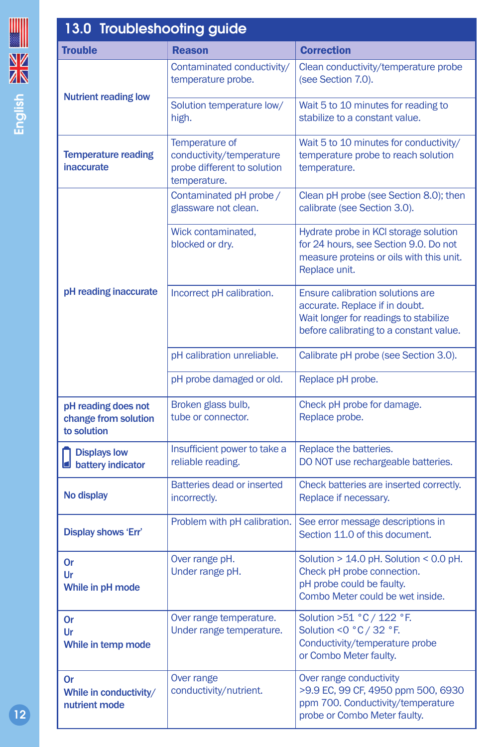| 13.0 Troubleshooting guide<br><b>Trouble</b>               | <b>Reason</b>                                                                                                                                                                        | <b>Correction</b>                                                                                                                                             |  |
|------------------------------------------------------------|--------------------------------------------------------------------------------------------------------------------------------------------------------------------------------------|---------------------------------------------------------------------------------------------------------------------------------------------------------------|--|
|                                                            |                                                                                                                                                                                      |                                                                                                                                                               |  |
| <b>Nutrient reading low</b>                                | Contaminated conductivity/<br>temperature probe.                                                                                                                                     | Clean conductivity/temperature probe<br>(see Section 7.0).                                                                                                    |  |
|                                                            | Solution temperature low/<br>high.                                                                                                                                                   | Wait 5 to 10 minutes for reading to<br>stabilize to a constant value.                                                                                         |  |
| <b>Temperature reading</b><br>inaccurate                   | Temperature of<br>conductivity/temperature<br>probe different to solution<br>temperature.                                                                                            | Wait 5 to 10 minutes for conductivity/<br>temperature probe to reach solution<br>temperature.                                                                 |  |
| pH reading inaccurate                                      | Contaminated pH probe /<br>glassware not clean.                                                                                                                                      | Clean pH probe (see Section 8.0); then<br>calibrate (see Section 3.0).                                                                                        |  |
|                                                            | Wick contaminated,<br>Hydrate probe in KCI storage solution<br>blocked or dry.<br>for 24 hours, see Section 9.0. Do not<br>measure proteins or oils with this unit.<br>Replace unit. |                                                                                                                                                               |  |
|                                                            | Incorrect pH calibration.                                                                                                                                                            | <b>Ensure calibration solutions are</b><br>accurate. Replace if in doubt.<br>Wait longer for readings to stabilize<br>before calibrating to a constant value. |  |
|                                                            | pH calibration unreliable.                                                                                                                                                           | Calibrate pH probe (see Section 3.0).                                                                                                                         |  |
|                                                            | pH probe damaged or old.                                                                                                                                                             | Replace pH probe.                                                                                                                                             |  |
| pH reading does not<br>change from solution<br>to solution | Broken glass bulb,<br>tube or connector.                                                                                                                                             | Check pH probe for damage.<br>Replace probe.                                                                                                                  |  |
| <b>Displays low</b><br>0<br>battery indicator              | Insufficient power to take a<br>reliable reading.                                                                                                                                    | Replace the batteries.<br>DO NOT use rechargeable batteries.                                                                                                  |  |
| No display                                                 | Batteries dead or inserted<br>incorrectly.                                                                                                                                           | Check batteries are inserted correctly.<br>Replace if necessary.                                                                                              |  |
| Display shows 'Err'                                        | Problem with pH calibration.                                                                                                                                                         | See error message descriptions in<br>Section 11.0 of this document.                                                                                           |  |
| Or<br>Ur<br>While in pH mode                               | Over range pH.<br>Under range pH.                                                                                                                                                    | Solution > 14.0 pH. Solution < 0.0 pH.<br>Check pH probe connection.<br>pH probe could be faulty.<br>Combo Meter could be wet inside.                         |  |
| <b>Or</b><br>Ur<br>While in temp mode                      | Over range temperature.<br>Under range temperature.                                                                                                                                  | Solution >51 °C / 122 °F.<br>Solution <0 °C / 32 °F.<br>Conductivity/temperature probe<br>or Combo Meter faulty.                                              |  |
| Or<br>While in conductivity/<br>nutrient mode              | Over range<br>conductivity/nutrient.                                                                                                                                                 | Over range conductivity<br>>9.9 EC, 99 CF, 4950 ppm 500, 6930<br>ppm 700. Conductivity/temperature<br>probe or Combo Meter faulty.                            |  |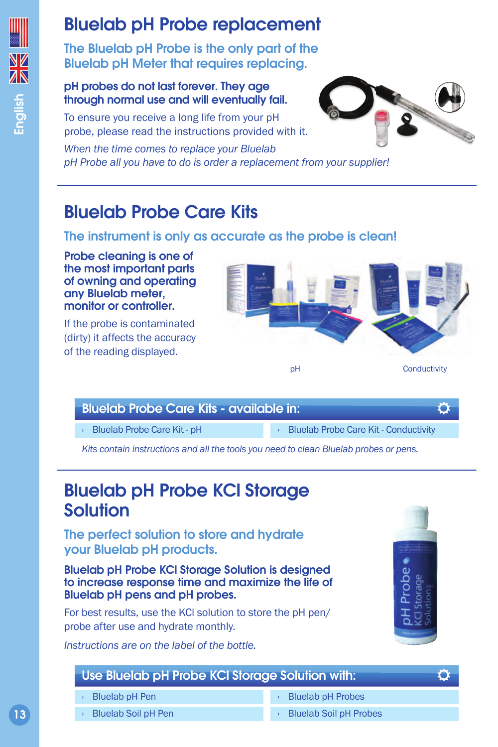## Bluelab pH Probe replacement

The Bluelab pH Probe is the only part of the Bluelab pH Meter that requires replacing.

#### pH probes do not last forever. They age through normal use and will eventually fail.

To ensure you receive a long life from your pH probe, please read the instructions provided with it.

*When the time comes to replace your Bluelab pH Probe all you have to do is order a replacement from your supplier!*



Bluelab Probe Care Kits

## The instrument is only as accurate as the probe is clean!

Probe cleaning is one of the most important parts of owning and operating any Bluelab meter, monitor or controller.

If the probe is contaminated (dirty) it affects the accuracy of the reading displayed.



#### Bluelab Probe Care Kits - available in:

› Bluelab Probe Care Kit - pH

› Bluelab Probe Care Kit - Conductivity

*Kits contain instructions and all the tools you need to clean Bluelab probes or pens.*

## Bluelab pH Probe KCl Storage Solution

The perfect solution to store and hydrate your Bluelab pH products.

Bluelab pH Probe KCl Storage Solution is designed to increase response time and maximize the life of Bluelab pH pens and pH probes.

For best results, use the KCl solution to store the pH pen/ probe after use and hydrate monthly.

*Instructions are on the label of the bottle.*



O

O

## Use Bluelab pH Probe KCl Storage Solution with:

- › Bluelab pH Pen
- › Bluelab Soil pH Pen
- **Bluelab pH Probes**
- **Bluelab Soil pH Probes**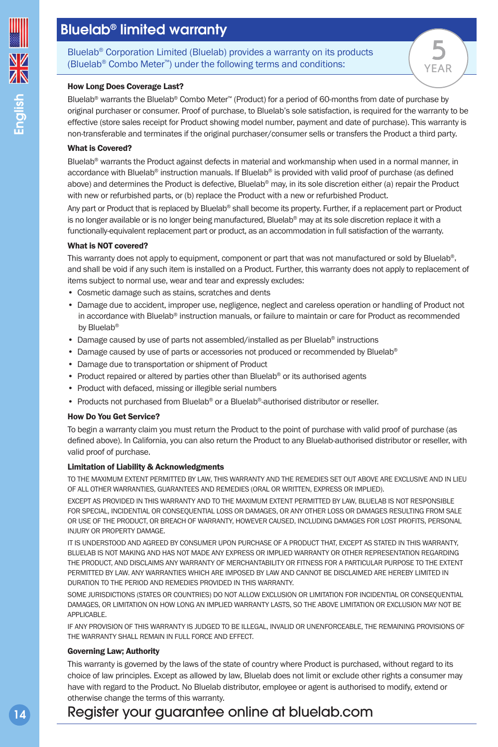Bluelab® Corporation Limited (Bluelab) provides a warranty on its products (Bluelab® Combo Meter™) under the following terms and conditions:

#### How Long Does Coverage Last?

Bluelab® warrants the Bluelab® Combo Meter™ (Product) for a period of 60-months from date of purchase by original purchaser or consumer. Proof of purchase, to Bluelab's sole satisfaction, is required for the warranty to be effective (store sales receipt for Product showing model number, payment and date of purchase). This warranty is non-transferable and terminates if the original purchaser/consumer sells or transfers the Product a third party.

#### What is Covered?

Bluelab<sup>®</sup> warrants the Product against defects in material and workmanship when used in a normal manner, in accordance with Bluelab® instruction manuals. If Bluelab® is provided with valid proof of purchase (as defined above) and determines the Product is defective. Bluelab<sup>®</sup> may, in its sole discretion either (a) repair the Product with new or refurbished parts, or (b) replace the Product with a new or refurbished Product.

Any part or Product that is replaced by Bluelab® shall become its property. Further, if a replacement part or Product is no longer available or is no longer being manufactured, Bluelab® may at its sole discretion replace it with a functionally-equivalent replacement part or product, as an accommodation in full satisfaction of the warranty.

#### What is NOT covered?

This warranty does not apply to equipment, component or part that was not manufactured or sold by Bluelab®, and shall be void if any such item is installed on a Product. Further, this warranty does not apply to replacement of items subject to normal use, wear and tear and expressly excludes:

- Cosmetic damage such as stains, scratches and dents
- Damage due to accident, improper use, negligence, neglect and careless operation or handling of Product not in accordance with Bluelab® instruction manuals, or failure to maintain or care for Product as recommended by Bluelab®
- Damage caused by use of parts not assembled/installed as per Bluelab® instructions
- Damage caused by use of parts or accessories not produced or recommended by Bluelab®
- Damage due to transportation or shipment of Product
- Product repaired or altered by parties other than Bluelab® or its authorised agents
- Product with defaced, missing or illegible serial numbers
- Products not purchased from Bluelab® or a Bluelab®-authorised distributor or reseller.

#### How Do You Get Service?

To begin a warranty claim you must return the Product to the point of purchase with valid proof of purchase (as defined above). In California, you can also return the Product to any Bluelab-authorised distributor or reseller, with valid proof of purchase.

#### Limitation of Liability & Acknowledgments

TO THE MAXIMUM EXTENT PERMITTED BY LAW, THIS WARRANTY AND THE REMEDIES SET OUT ABOVE ARE EXCLUSIVE AND IN LIEU OF ALL OTHER WARRANTIES, GUARANTEES AND REMEDIES (ORAL OR WRITTEN, EXPRESS OR IMPLIED).

EXCEPT AS PROVIDED IN THIS WARRANTY AND TO THE MAXIMUM EXTENT PERMITTED BY LAW, BLUELAB IS NOT RESPONSIBLE FOR SPECIAL, INCIDENTIAL OR CONSEQUENTIAL LOSS OR DAMAGES, OR ANY OTHER LOSS OR DAMAGES RESULTING FROM SALE OR USE OF THE PRODUCT, OR BREACH OF WARRANTY, HOWEVER CAUSED, INCLUDING DAMAGES FOR LOST PROFITS, PERSONAL INJURY OR PROPERTY DAMAGE.

IT IS UNDERSTOOD AND AGREED BY CONSUMER UPON PURCHASE OF A PRODUCT THAT, EXCEPT AS STATED IN THIS WARRANTY, BLUELAB IS NOT MAKING AND HAS NOT MADE ANY EXPRESS OR IMPLIED WARRANTY OR OTHER REPRESENTATION REGARDING THE PRODUCT, AND DISCLAIMS ANY WARRANTY OF MERCHANTABILITY OR FITNESS FOR A PARTICULAR PURPOSE TO THE EXTENT PERMITTED BY LAW. ANY WARRANTIES WHICH ARE IMPOSED BY LAW AND CANNOT BE DISCLAIMED ARE HEREBY LIMITED IN DURATION TO THE PERIOD AND REMEDIES PROVIDED IN THIS WARRANTY.

SOME JURISDICTIONS (STATES OR COUNTRIES) DO NOT ALLOW EXCLUSION OR LIMITATION FOR INCIDENTIAL OR CONSEQUENTIAL DAMAGES, OR LIMITATION ON HOW LONG AN IMPLIED WARRANTY LASTS, SO THE ABOVE LIMITATION OR EXCLUSION MAY NOT BE APPLICABLE.

IF ANY PROVISION OF THIS WARRANTY IS JUDGED TO BE ILLEGAL, INVALID OR UNENFORCEABLE, THE REMAINING PROVISIONS OF THE WARRANTY SHALL REMAIN IN FULL FORCE AND EFFECT.

#### Governing Law; Authority

This warranty is governed by the laws of the state of country where Product is purchased, without regard to its choice of law principles. Except as allowed by law, Bluelab does not limit or exclude other rights a consumer may have with regard to the Product. No Bluelab distributor, employee or agent is authorised to modify, extend or otherwise change the terms of this warranty.

## Register your guarantee online at [bluelab.com](http://bluelab.com)